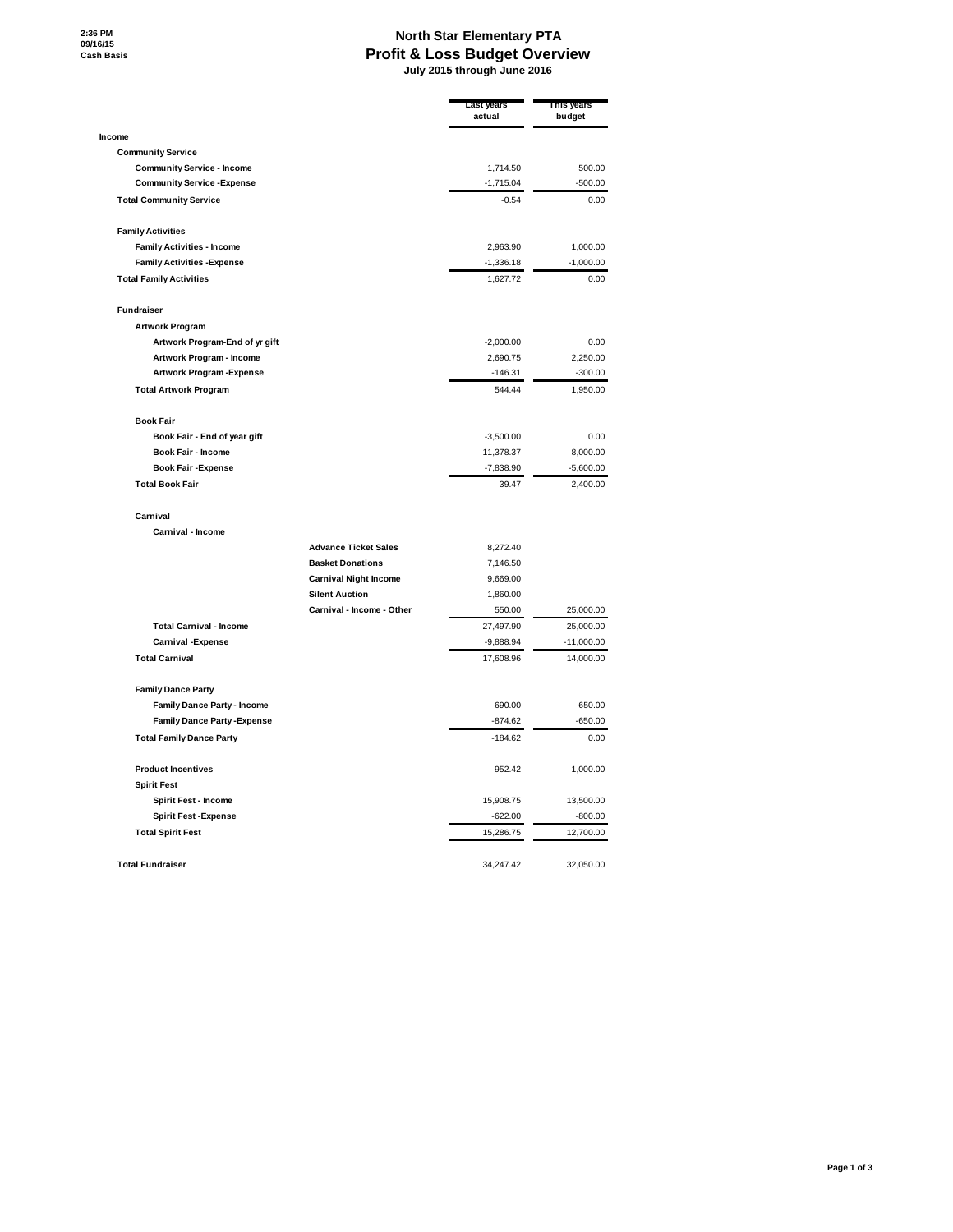## **North Star Elementary PTA Profit & Loss Budget Overview July 2015 through June 2016**

|                                     |                              | <b>Last years</b><br>actual | This years<br>budget |
|-------------------------------------|------------------------------|-----------------------------|----------------------|
| Income                              |                              |                             |                      |
| <b>Community Service</b>            |                              |                             |                      |
| <b>Community Service - Income</b>   |                              | 1,714.50                    | 500.00               |
| <b>Community Service - Expense</b>  |                              | $-1,715.04$                 | $-500.00$            |
| <b>Total Community Service</b>      |                              | $-0.54$                     | 0.00                 |
| <b>Family Activities</b>            |                              |                             |                      |
| <b>Family Activities - Income</b>   |                              | 2,963.90                    | 1,000.00             |
| <b>Family Activities - Expense</b>  |                              | $-1,336.18$                 | $-1,000.00$          |
| <b>Total Family Activities</b>      |                              | 1,627.72                    | 0.00                 |
| <b>Fundraiser</b>                   |                              |                             |                      |
| <b>Artwork Program</b>              |                              |                             |                      |
| Artwork Program-End of yr gift      |                              | $-2,000.00$                 | 0.00                 |
| Artwork Program - Income            |                              | 2,690.75                    | 2,250.00             |
| Artwork Program-Expense             |                              | $-146.31$                   | $-300.00$            |
| <b>Total Artwork Program</b>        |                              | 544.44                      | 1,950.00             |
| <b>Book Fair</b>                    |                              |                             |                      |
| Book Fair - End of year gift        |                              | $-3,500.00$                 | 0.00                 |
| Book Fair - Income                  |                              | 11,378.37                   | 8,000.00             |
| <b>Book Fair -Expense</b>           |                              | $-7,838.90$                 | $-5,600.00$          |
| <b>Total Book Fair</b>              |                              | 39.47                       | 2,400.00             |
| Carnival                            |                              |                             |                      |
| Carnival - Income                   |                              |                             |                      |
|                                     | <b>Advance Ticket Sales</b>  | 8,272.40                    |                      |
|                                     | <b>Basket Donations</b>      | 7,146.50                    |                      |
|                                     | <b>Carnival Night Income</b> | 9,669.00                    |                      |
|                                     | <b>Silent Auction</b>        | 1,860.00                    |                      |
|                                     | Carnival - Income - Other    | 550.00                      | 25,000.00            |
| <b>Total Carnival - Income</b>      |                              | 27,497.90                   | 25,000.00            |
| <b>Carnival - Expense</b>           |                              | $-9,888.94$                 | $-11,000.00$         |
| <b>Total Carnival</b>               |                              | 17,608.96                   | 14,000.00            |
| <b>Family Dance Party</b>           |                              |                             |                      |
| <b>Family Dance Party - Income</b>  |                              | 690.00                      | 650.00               |
| <b>Family Dance Party - Expense</b> |                              | $-874.62$                   | $-650.00$            |
| <b>Total Family Dance Party</b>     |                              | $-184.62$                   | 0.00                 |
| <b>Product Incentives</b>           |                              | 952.42                      | 1,000.00             |
| <b>Spirit Fest</b>                  |                              |                             |                      |
| Spirit Fest - Income                |                              | 15,908.75                   | 13,500.00            |
| <b>Spirit Fest -Expense</b>         |                              | $-622.00$                   | $-800.00$            |
| <b>Total Spirit Fest</b>            |                              | 15,286.75                   | 12,700.00            |
| <b>Total Fundraiser</b>             |                              | 34,247.42                   | 32,050.00            |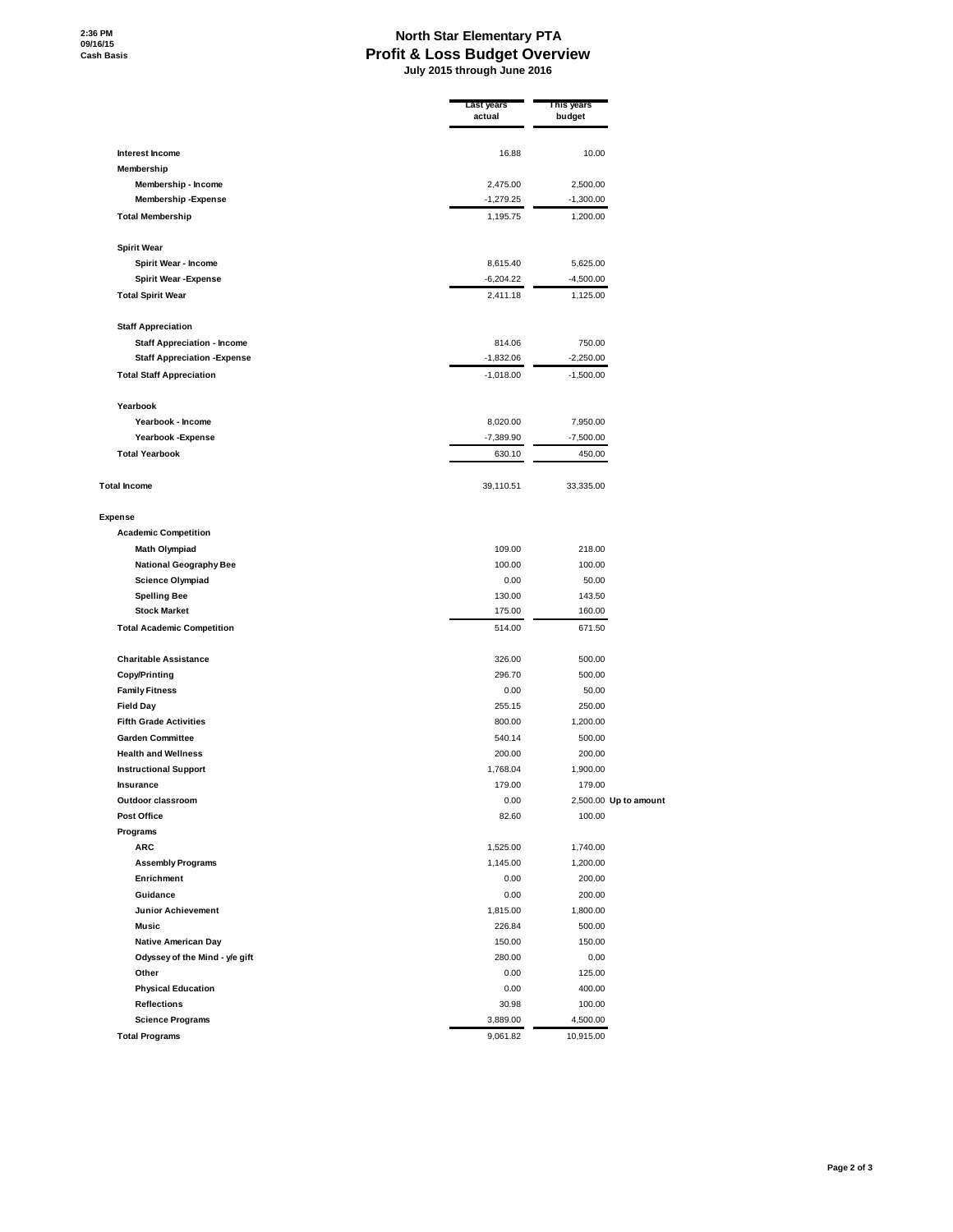## **North Star Elementary PTA Profit & Loss Budget Overview July 2015 through June 2016**

|                                                            | Last years<br>actual | This years<br>budget |                       |
|------------------------------------------------------------|----------------------|----------------------|-----------------------|
| Interest Income                                            | 16.88                | 10.00                |                       |
| Membership                                                 |                      |                      |                       |
| Membership - Income                                        | 2,475.00             | 2,500.00             |                       |
| <b>Membership-Expense</b>                                  | $-1,279.25$          | $-1,300.00$          |                       |
| <b>Total Membership</b>                                    | 1,195.75             | 1,200.00             |                       |
| <b>Spirit Wear</b>                                         |                      |                      |                       |
| Spirit Wear - Income                                       | 8,615.40             | 5,625.00             |                       |
| <b>Spirit Wear - Expense</b>                               | $-6,204.22$          | $-4,500.00$          |                       |
| <b>Total Spirit Wear</b>                                   | 2,411.18             | 1,125.00             |                       |
| <b>Staff Appreciation</b>                                  |                      |                      |                       |
| <b>Staff Appreciation - Income</b>                         | 814.06               | 750.00               |                       |
| <b>Staff Appreciation - Expense</b>                        | $-1,832.06$          | $-2,250.00$          |                       |
| <b>Total Staff Appreciation</b>                            | $-1,018.00$          | $-1,500.00$          |                       |
| Yearbook                                                   |                      |                      |                       |
| Yearbook - Income                                          | 8,020.00             | 7,950.00             |                       |
| Yearbook - Expense                                         | $-7,389.90$          | $-7,500.00$          |                       |
| <b>Total Yearbook</b>                                      | 630.10               | 450.00               |                       |
| <b>Total Income</b>                                        | 39,110.51            | 33,335.00            |                       |
| <b>Expense</b>                                             |                      |                      |                       |
| <b>Academic Competition</b>                                |                      |                      |                       |
| Math Olympiad                                              | 109.00               | 218.00               |                       |
| <b>National Geography Bee</b>                              | 100.00               | 100.00               |                       |
| <b>Science Olympiad</b>                                    | 0.00                 | 50.00                |                       |
| <b>Spelling Bee</b>                                        | 130.00               | 143.50               |                       |
| <b>Stock Market</b><br><b>Total Academic Competition</b>   | 175.00<br>514.00     | 160.00<br>671.50     |                       |
|                                                            |                      |                      |                       |
| <b>Charitable Assistance</b>                               | 326.00               | 500.00               |                       |
| <b>Copy/Printing</b>                                       | 296.70               | 500.00               |                       |
| <b>Family Fitness</b>                                      | 0.00                 | 50.00                |                       |
| <b>Field Day</b>                                           | 255.15               | 250.00               |                       |
| <b>Fifth Grade Activities</b>                              | 800.00               | 1,200.00             |                       |
| <b>Garden Committee</b>                                    | 540.14               | 500.00               |                       |
| <b>Health and Wellness</b><br><b>Instructional Support</b> | 200.00<br>1,768.04   | 200.00<br>1,900.00   |                       |
| Insurance                                                  | 179.00               | 179.00               |                       |
| Outdoor classroom                                          | 0.00                 |                      | 2,500.00 Up to amount |
| <b>Post Office</b>                                         | 82.60                | 100.00               |                       |
| Programs                                                   |                      |                      |                       |
| <b>ARC</b>                                                 | 1,525.00             | 1,740.00             |                       |
| <b>Assembly Programs</b>                                   | 1,145.00             | 1,200.00             |                       |
| Enrichment                                                 | 0.00                 | 200.00               |                       |
| Guidance                                                   | 0.00                 | 200.00               |                       |
| Junior Achievement                                         | 1,815.00             | 1,800.00             |                       |
| <b>Music</b>                                               | 226.84               | 500.00               |                       |
| <b>Native American Day</b>                                 | 150.00               | 150.00               |                       |
| Odyssey of the Mind - y/e gift                             | 280.00               | 0.00                 |                       |
| Other                                                      | 0.00                 | 125.00               |                       |
| <b>Physical Education</b>                                  | 0.00                 | 400.00               |                       |
| <b>Reflections</b>                                         | 30.98                | 100.00               |                       |
| <b>Science Programs</b>                                    | 3,889.00             | 4,500.00             |                       |
| <b>Total Programs</b>                                      | 9,061.82             | 10,915.00            |                       |